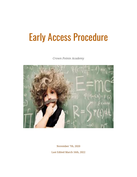# Early Access Procedure

*Crown Pointe Academy*



November 7th, 2020

Last Edited March 16th, 2022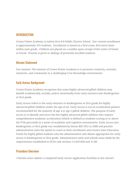## **INTRODUCTION**

Crown Pointe Academy is tuition-free K-8 Public Charter School. Our current enrollment is approximately 470 students. Enrollment is based on a first-come, first-serve basis within each grade. Children are placed on a waitlist upon receipt of the Letter of Intent to Enroll. Priority is given to siblings of presently enrolled students.

#### Mission Statement

Our mission: The mission of Crown Pointe Academy is to promote creativity, curiosity, character, and community in a challenging Core Knowledge environment.

## Early Access Background

Crown Pointe Academy recognizes that some highly advanced gifted children may benefit academically, socially, and/or emotionally from early entrance into kindergarten or first grade.

Early Access refers to the early entrance to kindergarten or first grade for highly advanced gifted children under the age of six. Early Access is not an acceleration pattern recommended for the majority of age 4 or age 5 gifted children. The purpose of early access is to identify and serve the few highly advanced gifted children who require comprehensive academic acceleration (which is defined as students scoring at or above the 97th percentile in a series of academic and cognitive assessments). Early Access into kindergarten or first grade was established by House Bill 1021 in 2008 and permits administrative units the option to count in their enrollment and receive State Education Funds for highly gifted students who the administrative unit deems appropriate for early access to kindergarten or first grade. Administrative units and schools must abide by the requirements established in ECEA rule sections 12.02(1)(H) and 12.08.

### Procedure Overview:

• Parents must submit a completed Early Access Application Portfolio to the school's